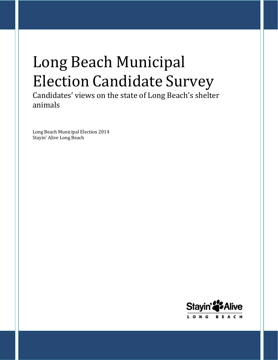# Long Beach Municipal Election Candidate Survey

Candidates' views on the state of Long Beach's shelter animals

Long Beach Municipal Election 2014 Stayin' Alive Long Beach

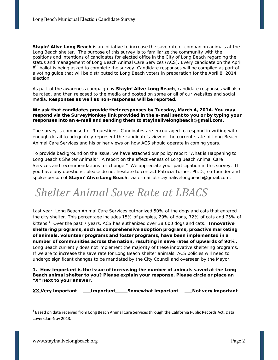**Stayin' Alive Long Beach** is an initiative to increase the save rate of companion animals at the Long Beach shelter. The purpose of this survey is to familiarize the community with the positions and intentions of candidates for elected office in the City of Long Beach regarding the status and management of Long Beach Animal Care Services (ACS). Every candidate on the April 8<sup>th</sup> ballot is being asked to complete the survey. Candidate responses will be compiled as part of a voting guide that will be distributed to Long Beach voters in preparation for the April 8, 2014 election.

As part of the awareness campaign by **Stayin' Alive Long Beach**, candidate responses will also be rated, and then released to the media and posted on some or all of our websites and social media. **Responses as well as non-responses will be reported.**

#### **We ask that candidates provide their responses by Tuesday, March 4, 2014. You may respond via the SurveyMonkey link provided in the e-mail sent to you or by typing your responses into an e-mail and sending them to [stayinalivelongbeach@gmail.com.](mailto:stayinalivelongbeach@gmail.com)**

The survey is composed of 9 questions. Candidates are encouraged to respond in writing with enough detail to adequately represent the candidate's view of the current state of Long Beach Animal Care Services and his or her views on how ACS should operate in coming years.

To provide background on the issue, we have attached our policy report "What is Happening to Long Beach's Shelter Animals?: A report on the effectiveness of Long Beach Animal Care Services and recommendations for change." We appreciate your participation in this survey. If you have any questions, please do not hesitate to contact Patricia Turner, Ph.D., co-founder and spokesperson of **Stayin' Alive Long Beach**, via e-mail at [stayinalivelongbeach@gmail.com.](mailto:stayinalivelongbeach@gmail.com)

### *Shelter Animal Save Rate at LBACS*

Last year, Long Beach Animal Care Services euthanized 50% of the dogs and cats that entered the city shelter. This percentage includes 15% of puppies, 29% of dogs, 72% of cats and 75% of kittens.1 Over the past 7 years, ACS has euthanized over 38,000 dogs and cats. **Innovative sheltering programs, such as comprehensive adoption programs, proactive marketing of animals, volunteer programs and foster programs, have been implemented in a number of communities across the nation, resulting in save rates of upwards of 90%.** Long Beach currently does not implement the majority of these innovative sheltering programs. If we are to increase the save rate for Long Beach shelter animals, ACS policies will need to undergo significant changes to be mandated by the City Council and overseen by the Mayor.

**1. How important is the issue of increasing the number of animals saved at the Long Beach animal shelter to you? Please explain your response. Please circle or place an "X" next to your answer.**

**XX Very important Important Somewhat important Not very important**

 $1$  Based on data received from Long Beach Animal Care Services through the California Public Records Act. Data coversJan-Nov 2013.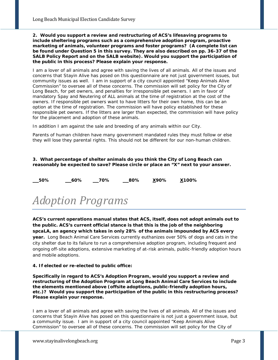**2. Would you support a review and restructuring of ACS's lifesaving programs to include sheltering programs such as a comprehensive adoption program, proactive marketing of animals, volunteer programs and foster programs? (A complete list can be found under Question 5 in this survey. They are also described on pp. 36-37 of the SALB Policy Report and on the SALB website). Would you support the participation of the public in this process? Please explain your response.**

I am a lover of all animals and agree with saving the lives of all animals. All of the issues and concerns that Stayin Alive has posed on this questionnaire are not just government issues, but community issues as well. I am in support of a city council appointed "Keep Animals Alive Commission" to oversee all of these concerns. The commission will set policy for the City of Long Beach, for pet owners, and penalties for irresponsible pet owners. I am in favor of mandatory Spay and Neutering of ALL animals at the time of registration at the cost of the owners. If responsible pet owners want to have litters for their own home, this can be an option at the time of registration. The commission will have policy established for these responsible pet owners. If the litters are larger than expected, the commission will have policy for the placement and adoption of these animals.

In addition I am against the sale and breeding of any animals within our City.

Parents of human children have many government mandated rules they must follow or else they will lose they parental rights. This should not be different for our non-human children.

**3. What percentage of shelter animals do you think the City of Long Beach can reasonably be expected to save? Please circle or place an "X" next to your answer.**

**50% 60% 70% 80% X90% X100%**

### *Adoption Programs*

**ACS's current operations manual states that ACS, itself, does not adopt animals out to the public. ACS's current official stance is that this is the job of the neighboring spcaLA, an agency which takes in only 28% of the animals impounded by ACS every year.** Long Beach Animal Care Services currently euthanizes over 50% of dogs and cats in the city shelter due to its failure to run a comprehensive adoption program, including frequent and ongoing off-site adoptions, extensive marketing of at-risk animals, public-friendly adoption hours and mobile adoptions.

#### **4. If elected or re-elected to public office:**

**Specifically in regard to ACS's Adoption Program, would you support a review and restructuring of the Adoption Program at Long Beach Animal Care Services to include the elements mentioned above (offsite adoptions, public-friendly adoption hours, etc.)? Would you support the participation of the public in this restructuring process? Please explain your response.**

I am a lover of all animals and agree with saving the lives of all animals. All of the issues and concerns that Stayin Alive has posed on this questionnaire is not just a government issue, but a community issue. I am in support of a city council appointed "Keep Animals Alive Commission" to oversee all of these concerns. The commission will set policy for the City of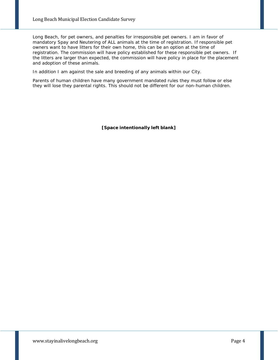Long Beach, for pet owners, and penalties for irresponsible pet owners. I am in favor of mandatory Spay and Neutering of ALL animals at the time of registration. If responsible pet owners want to have litters for their own home, this can be an option at the time of registration. The commission will have policy established for these responsible pet owners. If the litters are larger than expected, the commission will have policy in place for the placement and adoption of these animals.

In addition I am against the sale and breeding of any animals within our City.

Parents of human children have many government mandated rules they must follow or else they will lose they parental rights. This should not be different for our non-human children.

**[Space intentionally left blank]**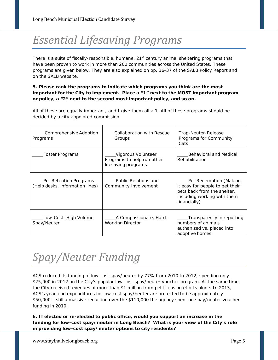# *Essential Lifesaving Programs*

There is a suite of fiscally-responsible, humane, 21<sup>st</sup> century animal sheltering programs that have been proven to work in more than 200 communities across the United States. These programs are given below. They are also explained on pp. 36-37 of the SALB Policy Report and on the SALB website.

#### **5. Please rank the programs to indicate which programs you think are the most important for the City to implement. Place a "1" next to the MOST important program or policy, a "2" next to the second most important policy, and so on.**

All of these are equally important, and I give them all a 1. All of these programs should be decided by a city appointed commission.

| Comprehensive Adoption<br>Programs                        | Collaboration with Rescue<br>Groups                                     | Trap-Neuter-Release<br>Programs for Community<br>Cats                                                                                   |
|-----------------------------------------------------------|-------------------------------------------------------------------------|-----------------------------------------------------------------------------------------------------------------------------------------|
| Foster Programs                                           | Vigorous Volunteer<br>Programs to help run other<br>lifesaving programs | Behavioral and Medical<br>Rehabilitation                                                                                                |
| Pet Retention Programs<br>(Help desks, information lines) | <b>Public Relations and</b><br>Community Involvement                    | Pet Redemption (Making<br>it easy for people to get their<br>pets back from the shelter,<br>including working with them<br>financially) |
| Low-Cost, High Volume<br>Spay/Neuter                      | A Compassionate, Hard-<br><b>Working Director</b>                       | Transparency in reporting<br>numbers of animals<br>euthanized vs. placed into<br>adoptive homes                                         |

### *Spay/Neuter Funding*

ACS reduced its funding of low-cost spay/neuter by 77% from 2010 to 2012, spending only \$25,000 in 2012 on the City's popular low-cost spay/neuter voucher program. At the same time, the City received revenues of more than \$1 million from pet licensing efforts alone. In 2013, ACS's year-end expenditures for low-cost spay/neuter are projected to be approximately \$50,000 – still a massive reduction over the \$110,000 the agency spent on spay/neuter voucher funding in 2010.

**6. If elected or re-elected to public office, would you support an increase in the funding for low-cost spay/neuter in Long Beach? What is your view of the City's role in providing low-cost spay/neuter options to city residents?**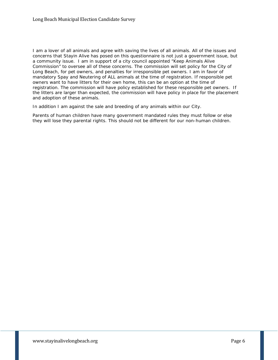I am a lover of all animals and agree with saving the lives of all animals. All of the issues and concerns that Stayin Alive has posed on this questionnaire is not just a government issue, but a community issue. I am in support of a city council appointed "Keep Animals Alive Commission" to oversee all of these concerns. The commission will set policy for the City of Long Beach, for pet owners, and penalties for irresponsible pet owners. I am in favor of mandatory Spay and Neutering of ALL animals at the time of registration. If responsible pet owners want to have litters for their own home, this can be an option at the time of registration. The commission will have policy established for these responsible pet owners. If the litters are larger than expected, the commission will have policy in place for the placement and adoption of these animals.

In addition I am against the sale and breeding of any animals within our City.

Parents of human children have many government mandated rules they must follow or else they will lose they parental rights. This should not be different for our non-human children.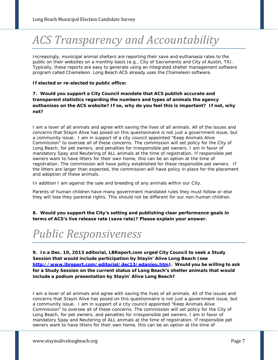# *ACS Transparency and Accountability*

Increasingly, municipal animal shelters are reporting their save and euthanasia rates to the public on their websites on a monthly basis (e.g., City of Sacramento and City of Austin, TX). Typically, these reports are easy to generate using an integrated shelter management software program called Chameleon. Long Beach ACS already uses the Chameleon software.

#### **If elected or re-elected to public office:**

#### **7. Would you support a City Council mandate that ACS publish accurate and transparent statistics regarding the numbers and types of animals the agency euthanizes on the ACS website? If so, why do you feel this is important? If not, why not?**

I am a lover of all animals and agree with saving the lives of all animals. All of the issues and concerns that Stayin Alive has posed on this questionnaire is not just a government issue, but a community issue. I am in support of a city council appointed "Keep Animals Alive Commission" to oversee all of these concerns. The commission will set policy for the City of Long Beach, for pet owners, and penalties for irresponsible pet owners. I am in favor of mandatory Spay and Neutering of ALL animals at the time of registration. If responsible pet owners want to have litters for their own home, this can be an option at the time of registration. The commission will have policy established for these responsible pet owners. If the litters are larger than expected, the commission will have policy in place for the placement and adoption of these animals.

In addition I am against the sale and breeding of any animals within our City.

Parents of human children have many government mandated rules they must follow or else they will lose they parental rights. This should not be different for our non-human children.

**8. Would you support the City's setting and publishing clear performance goals in terms of ACS's live release rate (save rate)? Please explain your answer.**

### *Public Responsiveness*

**9. In a Dec. 10, 2013 editorial, LBReport.com urged City Council to seek a Study Session that would include participation by Stayin' Alive Long Beach (see [http://www.lbreport.com/editorial/dec13/edanieu.htm\)](http://www.lbreport.com/editorial/dec13/edanieu.htm). Would you be willing to ask for a Study Session on the current status of Long Beach's shelter animals that would include a podium presentation by Stayin' Alive Long Beach?**

I am a lover of all animals and agree with saving the lives of all animals. All of the issues and concerns that Stayin Alive has posed on this questionnaire is not just a government issue, but a community issue. I am in support of a city council appointed "Keep Animals Alive Commission" to oversee all of these concerns. The commission will set policy for the City of Long Beach, for pet owners, and penalties for irresponsible pet owners. I am in favor of mandatory Spay and Neutering of ALL animals at the time of registration. If responsible pet owners want to have litters for their own home, this can be an option at the time of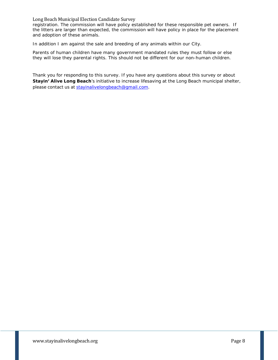Long Beach Municipal Election Candidate Survey

registration. The commission will have policy established for these responsible pet owners. If the litters are larger than expected, the commission will have policy in place for the placement and adoption of these animals.

In addition I am against the sale and breeding of any animals within our City.

Parents of human children have many government mandated rules they must follow or else they will lose they parental rights. This should not be different for our non-human children.

Thank you for responding to this survey. If you have any questions about this survey or about **Stayin' Alive Long Beach**'s initiative to increase lifesaving at the Long Beach municipal shelter, please contact us at [stayinalivelongbeach@gmail.com.](mailto:stayinalivelongbeach@gmail.com)